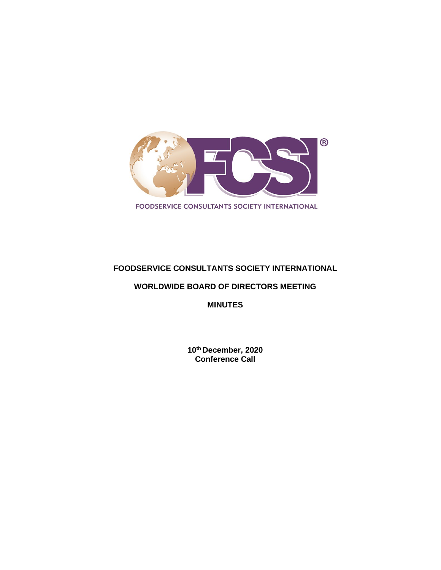

# **FOODSERVICE CONSULTANTS SOCIETY INTERNATIONAL**

## **WORLDWIDE BOARD OF DIRECTORS MEETING**

**MINUTES**

**10th December, 2020 Conference Call**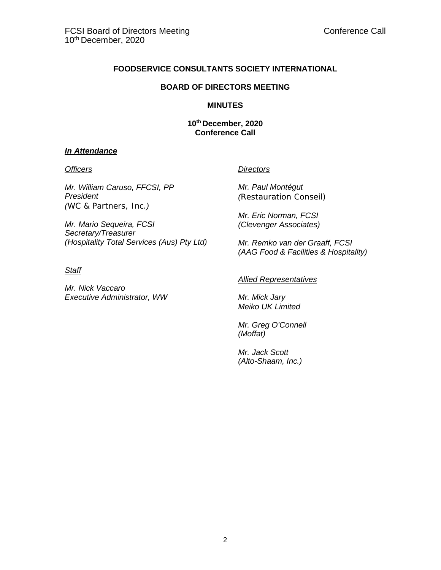## **FOODSERVICE CONSULTANTS SOCIETY INTERNATIONAL**

#### **BOARD OF DIRECTORS MEETING**

#### **MINUTES**

**10th December, 2020 Conference Call**

## *In Attendance*

*Mr. William Caruso, FFCSI, PP President (WC & Partners, Inc.)*

*Mr. Mario Sequeira, FCSI Secretary/Treasurer (Hospitality Total Services (Aus) Pty Ltd)*

#### *Staff*

*Mr. Nick Vaccaro Executive Administrator, WW*

#### *Officers Directors*

*Mr. Paul Montégut (Restauration Conseil)*

*Mr. Eric Norman, FCSI (Clevenger Associates)*

*Mr. Remko van der Graaff, FCSI (AAG Food & Facilities & Hospitality)*

#### *Allied Representatives*

*Mr. Mick Jary Meiko UK Limited*

*Mr. Greg O'Connell (Moffat)*

*Mr. Jack Scott (Alto-Shaam, Inc.)*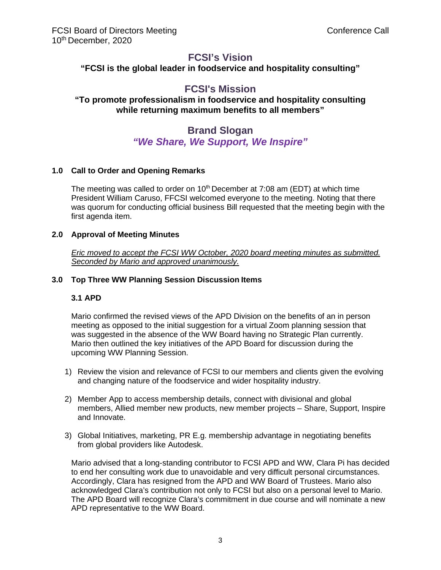# **FCSI's Vision**

**"FCSI is the global leader in foodservice and hospitality consulting"**

# **FCSI's Mission**

# **"To promote professionalism in foodservice and hospitality consulting while returning maximum benefits to all members"**

# **Brand Slogan** *"We Share, We Support, We Inspire"*

# **1.0 Call to Order and Opening Remarks**

The meeting was called to order on  $10<sup>th</sup>$  December at 7:08 am (EDT) at which time President William Caruso, FFCSI welcomed everyone to the meeting. Noting that there was quorum for conducting official business Bill requested that the meeting begin with the first agenda item.

#### **2.0 Approval of Meeting Minutes**

*Eric moved to accept the FCSI WW October, 2020 board meeting minutes as submitted. Seconded by Mario and approved unanimously.*

#### **3.0 Top Three WW Planning Session Discussion Items**

# **3.1 APD**

Mario confirmed the revised views of the APD Division on the benefits of an in person meeting as opposed to the initial suggestion for a virtual Zoom planning session that was suggested in the absence of the WW Board having no Strategic Plan currently. Mario then outlined the key initiatives of the APD Board for discussion during the upcoming WW Planning Session.

- 1) Review the vision and relevance of FCSI to our members and clients given the evolving and changing nature of the foodservice and wider hospitality industry.
- 2) Member App to access membership details, connect with divisional and global members, Allied member new products, new member projects – Share, Support, Inspire and Innovate.
- 3) Global Initiatives, marketing, PR E.g. membership advantage in negotiating benefits from global providers like Autodesk.

Mario advised that a long-standing contributor to FCSI APD and WW, Clara Pi has decided to end her consulting work due to unavoidable and very difficult personal circumstances. Accordingly, Clara has resigned from the APD and WW Board of Trustees. Mario also acknowledged Clara's contribution not only to FCSI but also on a personal level to Mario. The APD Board will recognize Clara's commitment in due course and will nominate a new APD representative to the WW Board.